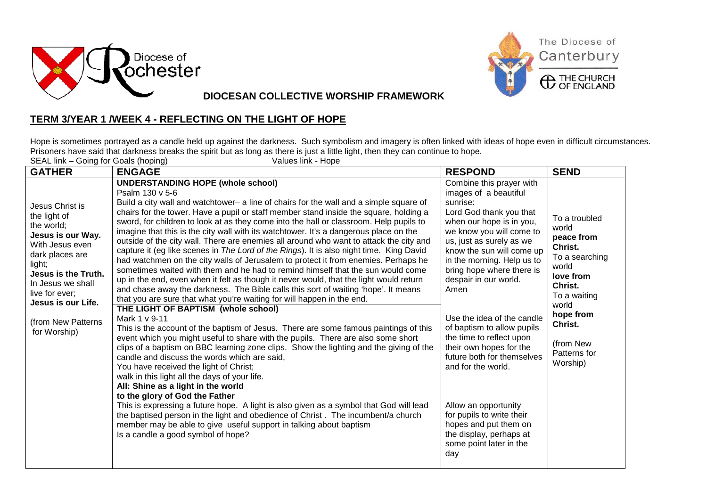



**DIOCESAN COLLECTIVE WORSHIP FRAMEWORK**

## **TERM 3/YEAR 1 /WEEK 4 - REFLECTING ON THE LIGHT OF HOPE**

Hope is sometimes portrayed as a candle held up against the darkness. Such symbolism and imagery is often linked with ideas of hope even in difficult circumstances. Prisoners have said that darkness breaks the spirit but as long as there is just a little light, then they can continue to hope. SEAL link – Going for Goals (hoping) Values link - Hope

|                                                                                                                                                                                                                                              | SEAL link – Going for Goals (noping)<br>values link - Hope                                                                                                                                                                                                                                                                                                                                                                                                                                                                                                                                                                                                                                                                                                                                                                                                                                                                                                                                                                                                                                                                                                                                                                                                                                                                                                                                                                                                                                                                                                                                                                                                                                                                                                                                                                                                                                           |                                                                                                                                                                                                                                                                                                                                                                                                                                                                                                                                                                                                                         |                                                                                                                                                                                              |  |  |
|----------------------------------------------------------------------------------------------------------------------------------------------------------------------------------------------------------------------------------------------|------------------------------------------------------------------------------------------------------------------------------------------------------------------------------------------------------------------------------------------------------------------------------------------------------------------------------------------------------------------------------------------------------------------------------------------------------------------------------------------------------------------------------------------------------------------------------------------------------------------------------------------------------------------------------------------------------------------------------------------------------------------------------------------------------------------------------------------------------------------------------------------------------------------------------------------------------------------------------------------------------------------------------------------------------------------------------------------------------------------------------------------------------------------------------------------------------------------------------------------------------------------------------------------------------------------------------------------------------------------------------------------------------------------------------------------------------------------------------------------------------------------------------------------------------------------------------------------------------------------------------------------------------------------------------------------------------------------------------------------------------------------------------------------------------------------------------------------------------------------------------------------------------|-------------------------------------------------------------------------------------------------------------------------------------------------------------------------------------------------------------------------------------------------------------------------------------------------------------------------------------------------------------------------------------------------------------------------------------------------------------------------------------------------------------------------------------------------------------------------------------------------------------------------|----------------------------------------------------------------------------------------------------------------------------------------------------------------------------------------------|--|--|
| <b>GATHER</b>                                                                                                                                                                                                                                | <b>ENGAGE</b>                                                                                                                                                                                                                                                                                                                                                                                                                                                                                                                                                                                                                                                                                                                                                                                                                                                                                                                                                                                                                                                                                                                                                                                                                                                                                                                                                                                                                                                                                                                                                                                                                                                                                                                                                                                                                                                                                        | <b>RESPOND</b>                                                                                                                                                                                                                                                                                                                                                                                                                                                                                                                                                                                                          | <b>SEND</b>                                                                                                                                                                                  |  |  |
| Jesus Christ is<br>the light of<br>the world;<br>Jesus is our Way.<br>With Jesus even<br>dark places are<br>light;<br>Jesus is the Truth.<br>In Jesus we shall<br>live for ever;<br>Jesus is our Life.<br>(from New Patterns<br>for Worship) | <b>UNDERSTANDING HOPE (whole school)</b><br>Psalm 130 v 5-6<br>Build a city wall and watchtower- a line of chairs for the wall and a simple square of<br>chairs for the tower. Have a pupil or staff member stand inside the square, holding a<br>sword, for children to look at as they come into the hall or classroom. Help pupils to<br>imagine that this is the city wall with its watchtower. It's a dangerous place on the<br>outside of the city wall. There are enemies all around who want to attack the city and<br>capture it (eg like scenes in The Lord of the Rings). It is also night time. King David<br>had watchmen on the city walls of Jerusalem to protect it from enemies. Perhaps he<br>sometimes waited with them and he had to remind himself that the sun would come<br>up in the end, even when it felt as though it never would, that the light would return<br>and chase away the darkness. The Bible calls this sort of waiting 'hope'. It means<br>that you are sure that what you're waiting for will happen in the end.<br>THE LIGHT OF BAPTISM (whole school)<br>Mark 1 v 9-11<br>This is the account of the baptism of Jesus. There are some famous paintings of this<br>event which you might useful to share with the pupils. There are also some short<br>clips of a baptism on BBC learning zone clips. Show the lighting and the giving of the<br>candle and discuss the words which are said,<br>You have received the light of Christ;<br>walk in this light all the days of your life.<br>All: Shine as a light in the world<br>to the glory of God the Father<br>This is expressing a future hope. A light is also given as a symbol that God will lead<br>the baptised person in the light and obedience of Christ. The incumbent/a church<br>member may be able to give useful support in talking about baptism<br>Is a candle a good symbol of hope? | Combine this prayer with<br>images of a beautiful<br>sunrise:<br>Lord God thank you that<br>when our hope is in you,<br>we know you will come to<br>us, just as surely as we<br>know the sun will come up<br>in the morning. Help us to<br>bring hope where there is<br>despair in our world.<br>Amen<br>Use the idea of the candle<br>of baptism to allow pupils<br>the time to reflect upon<br>their own hopes for the<br>future both for themselves<br>and for the world.<br>Allow an opportunity<br>for pupils to write their<br>hopes and put them on<br>the display, perhaps at<br>some point later in the<br>day | To a troubled<br>world<br>peace from<br>Christ.<br>To a searching<br>world<br>love from<br>Christ.<br>To a waiting<br>world<br>hope from<br>Christ.<br>(from New<br>Patterns for<br>Worship) |  |  |